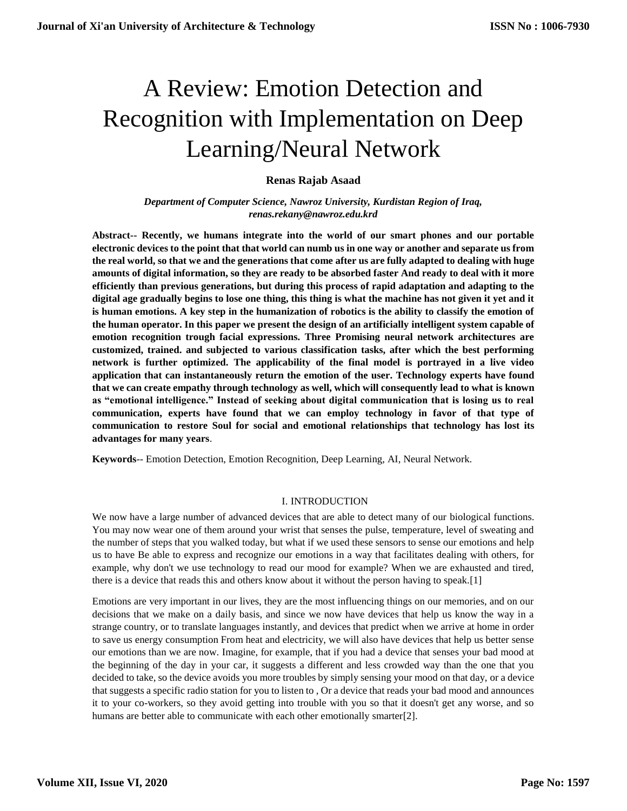# A Review: Emotion Detection and Recognition with Implementation on Deep Learning/Neural Network

# **Renas Rajab Asaad**

*Department of Computer Science, Nawroz University, Kurdistan Region of Iraq, renas.rekany@nawroz.edu.krd*

**Abstract-- Recently, we humans integrate into the world of our smart phones and our portable electronic devices to the point that that world can numb us in one way or another and separate us from the real world, so that we and the generations that come after us are fully adapted to dealing with huge amounts of digital information, so they are ready to be absorbed faster And ready to deal with it more efficiently than previous generations, but during this process of rapid adaptation and adapting to the digital age gradually begins to lose one thing, this thing is what the machine has not given it yet and it is human emotions. A key step in the humanization of robotics is the ability to classify the emotion of the human operator. In this paper we present the design of an artificially intelligent system capable of emotion recognition trough facial expressions. Three Promising neural network architectures are customized, trained. and subjected to various classification tasks, after which the best performing network is further optimized. The applicability of the final model is portrayed in a live video application that can instantaneously return the emotion of the user. Technology experts have found that we can create empathy through technology as well, which will consequently lead to what is known as "emotional intelligence." Instead of seeking about digital communication that is losing us to real communication, experts have found that we can employ technology in favor of that type of communication to restore Soul for social and emotional relationships that technology has lost its advantages for many years**.

**Keywords**-- Emotion Detection, Emotion Recognition, Deep Learning, AI, Neural Network.

# I. INTRODUCTION

We now have a large number of advanced devices that are able to detect many of our biological functions. You may now wear one of them around your wrist that senses the pulse, temperature, level of sweating and the number of steps that you walked today, but what if we used these sensors to sense our emotions and help us to have Be able to express and recognize our emotions in a way that facilitates dealing with others, for example, why don't we use technology to read our mood for example? When we are exhausted and tired, there is a device that reads this and others know about it without the person having to speak.[1]

Emotions are very important in our lives, they are the most influencing things on our memories, and on our decisions that we make on a daily basis, and since we now have devices that help us know the way in a strange country, or to translate languages instantly, and devices that predict when we arrive at home in order to save us energy consumption From heat and electricity, we will also have devices that help us better sense our emotions than we are now. Imagine, for example, that if you had a device that senses your bad mood at the beginning of the day in your car, it suggests a different and less crowded way than the one that you decided to take, so the device avoids you more troubles by simply sensing your mood on that day, or a device that suggests a specific radio station for you to listen to , Or a device that reads your bad mood and announces it to your co-workers, so they avoid getting into trouble with you so that it doesn't get any worse, and so humans are better able to communicate with each other emotionally smarter[2].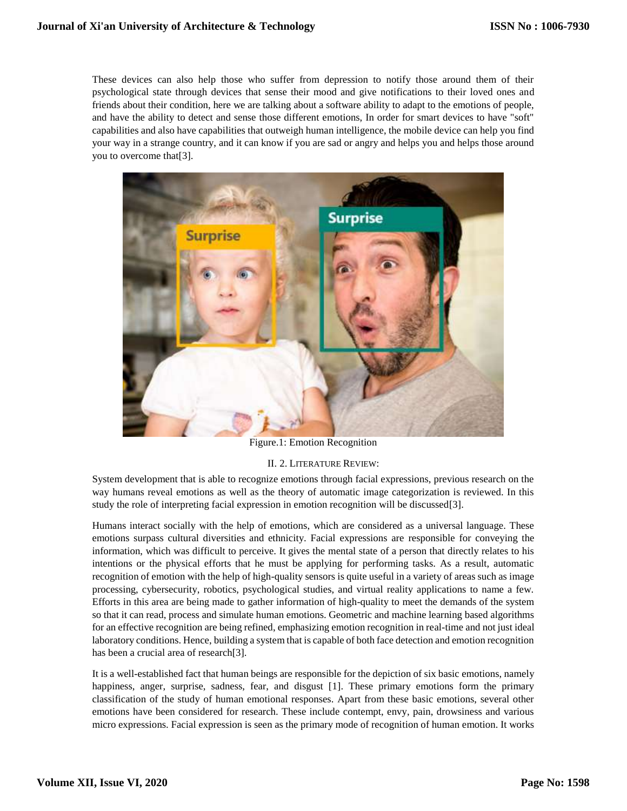These devices can also help those who suffer from depression to notify those around them of their psychological state through devices that sense their mood and give notifications to their loved ones and friends about their condition, here we are talking about a software ability to adapt to the emotions of people, and have the ability to detect and sense those different emotions, In order for smart devices to have "soft" capabilities and also have capabilities that outweigh human intelligence, the mobile device can help you find your way in a strange country, and it can know if you are sad or angry and helps you and helps those around you to overcome that[3].



Figure.1: Emotion Recognition

# II. 2. LITERATURE REVIEW:

System development that is able to recognize emotions through facial expressions, previous research on the way humans reveal emotions as well as the theory of automatic image categorization is reviewed. In this study the role of interpreting facial expression in emotion recognition will be discussed[3].

Humans interact socially with the help of emotions, which are considered as a universal language. These emotions surpass cultural diversities and ethnicity. Facial expressions are responsible for conveying the information, which was difficult to perceive. It gives the mental state of a person that directly relates to his intentions or the physical efforts that he must be applying for performing tasks. As a result, automatic recognition of emotion with the help of high-quality sensors is quite useful in a variety of areas such as image processing, cybersecurity, robotics, psychological studies, and virtual reality applications to name a few. Efforts in this area are being made to gather information of high-quality to meet the demands of the system so that it can read, process and simulate human emotions. Geometric and machine learning based algorithms for an effective recognition are being refined, emphasizing emotion recognition in real-time and not just ideal laboratory conditions. Hence, building a system that is capable of both face detection and emotion recognition has been a crucial area of research[3].

It is a well-established fact that human beings are responsible for the depiction of six basic emotions, namely happiness, anger, surprise, sadness, fear, and disgust [\[1\]](https://www.ncbi.nlm.nih.gov/pmc/articles/PMC5856132/#B1-sensors-18-00416). These primary emotions form the primary classification of the study of human emotional responses. Apart from these basic emotions, several other emotions have been considered for research. These include contempt, envy, pain, drowsiness and various micro expressions. Facial expression is seen as the primary mode of recognition of human emotion. It works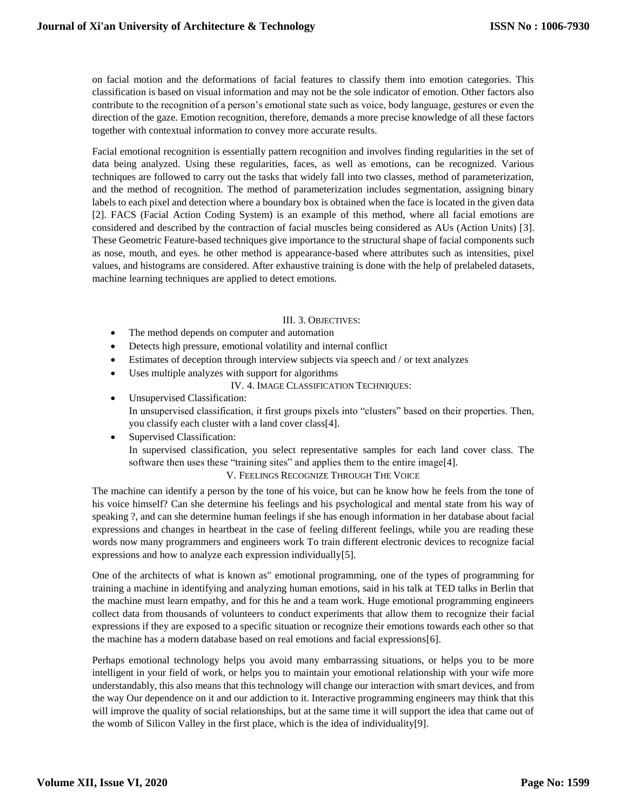on facial motion and the deformations of facial features to classify them into emotion categories. This classification is based on visual information and may not be the sole indicator of emotion. Other factors also contribute to the recognition of a person's emotional state such as voice, body language, gestures or even the direction of the gaze. Emotion recognition, therefore, demands a more precise knowledge of all these factors together with contextual information to convey more accurate results.

Facial emotional recognition is essentially pattern recognition and involves finding regularities in the set of data being analyzed. Using these regularities, faces, as well as emotions, can be recognized. Various techniques are followed to carry out the tasks that widely fall into two classes, method of parameterization, and the method of recognition. The method of parameterization includes segmentation, assigning binary labels to each pixel and detection where a boundary box is obtained when the face is located in the given data [\[2\]](https://www.ncbi.nlm.nih.gov/pmc/articles/PMC5856132/#B2-sensors-18-00416). FACS (Facial Action Coding System) is an example of this method, where all facial emotions are considered and described by the contraction of facial muscles being considered as AUs (Action Units) [\[3\]](https://www.ncbi.nlm.nih.gov/pmc/articles/PMC5856132/#B3-sensors-18-00416). These Geometric Feature-based techniques give importance to the structural shape of facial components such as nose, mouth, and eyes. he other method is appearance-based where attributes such as intensities, pixel values, and histograms are considered. After exhaustive training is done with the help of prelabeled datasets, machine learning techniques are applied to detect emotions.

#### III. 3. OBJECTIVES:

- The method depends on computer and automation
- Detects high pressure, emotional volatility and internal conflict
- Estimates of deception through interview subjects via speech and / or text analyzes
- Uses multiple analyzes with support for algorithms
	- IV. 4. IMAGE CLASSIFICATION TECHNIQUES:
- Unsupervised Classification: In unsupervised classification, it first groups pixels into "clusters" based on their properties. Then, you classify each cluster with a land cover class[4].
- Supervised Classification: In supervised classification, you select representative samples for each land cover class. The software then uses these "training sites" and applies them to the entire image[4]. V. FEELINGS RECOGNIZE THROUGH THE VOICE

The machine can identify a person by the tone of his voice, but can he know how he feels from the tone of his voice himself? Can she determine his feelings and his psychological and mental state from his way of speaking ?, and can she determine human feelings if she has enough information in her database about facial expressions and changes in heartbeat in the case of feeling different feelings, while you are reading these words now many programmers and engineers work To train different electronic devices to recognize facial expressions and how to analyze each expression individually[5].

One of the architects of what is known as" emotional programming, one of the types of programming for training a machine in identifying and analyzing human emotions, said in his talk at TED talks in Berlin that the machine must learn empathy, and for this he and a team work. Huge emotional programming engineers collect data from thousands of volunteers to conduct experiments that allow them to recognize their facial expressions if they are exposed to a specific situation or recognize their emotions towards each other so that the machine has a modern database based on real emotions and facial expressions[6].

Perhaps emotional technology helps you avoid many embarrassing situations, or helps you to be more intelligent in your field of work, or helps you to maintain your emotional relationship with your wife more understandably, this also means that this technology will change our interaction with smart devices, and from the way Our dependence on it and our addiction to it. Interactive programming engineers may think that this will improve the quality of social relationships, but at the same time it will support the idea that came out of the womb of Silicon Valley in the first place, which is the idea of individuality[9].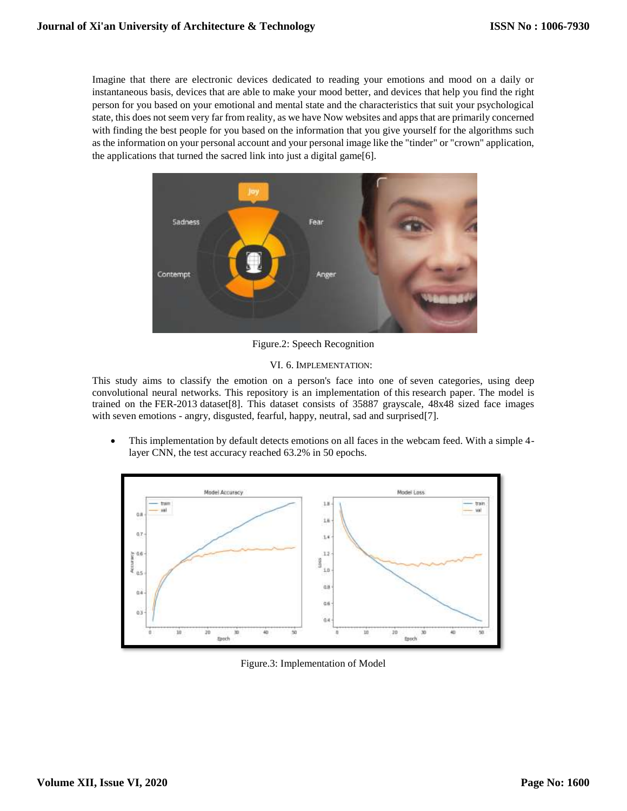Imagine that there are electronic devices dedicated to reading your emotions and mood on a daily or instantaneous basis, devices that are able to make your mood better, and devices that help you find the right person for you based on your emotional and mental state and the characteristics that suit your psychological state, this does not seem very far from reality, as we have Now websites and apps that are primarily concerned with finding the best people for you based on the information that you give yourself for the algorithms such as the information on your personal account and your personal image like the "tinder" or "crown" application, the applications that turned the sacred link into just a digital game[6].



Figure.2: Speech Recognition

#### VI. 6. IMPLEMENTATION:

This study aims to classify the emotion on a person's face into one of seven categories, using deep convolutional neural networks. This repository is an implementation of [this](https://github.com/atulapra/Emotion-detection/blob/master/ResearchPaper.pdf) research paper. The model is trained on the FER-2013 dataset[8]. This dataset consists of 35887 grayscale, 48x48 sized face images with seven emotions - angry, disgusted, fearful, happy, neutral, sad and surprised[7].

 This implementation by default detects emotions on all faces in the webcam feed. With a simple 4 layer CNN, the test accuracy reached 63.2% in 50 epochs.



Figure.3: Implementation of Model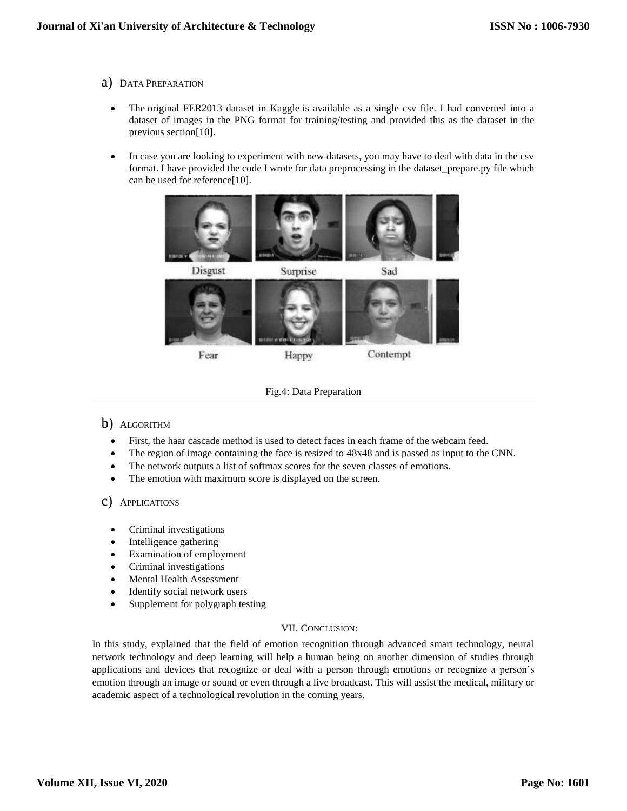- a) DATA PREPARATION
	- The [original FER2013 dataset in Kaggle](https://www.kaggle.com/deadskull7/fer2013) is available as a single csy file. I had converted into a dataset of images in the PNG format for training/testing and provided this as the dataset in the previous section[10].
	- In case you are looking to experiment with new datasets, you may have to deal with data in the csv format. I have provided the code I wrote for data preprocessing in the dataset\_prepare.py file which can be used for reference[10].



Fig.4: Data Preparation

# b) ALGORITHM

- First, the haar cascade method is used to detect faces in each frame of the webcam feed.
- The region of image containing the face is resized to 48x48 and is passed as input to the CNN.
- The network outputs a list of softmax scores for the seven classes of emotions.
- The emotion with maximum score is displayed on the screen.

# c) APPLICATIONS

- Criminal investigations
- Intelligence gathering
- Examination of employment
- Criminal investigations
- Mental Health Assessment
- Identify social network users
- Supplement for polygraph testing

#### VII. CONCLUSION:

In this study, explained that the field of emotion recognition through advanced smart technology, neural network technology and deep learning will help a human being on another dimension of studies through applications and devices that recognize or deal with a person through emotions or recognize a person's emotion through an image or sound or even through a live broadcast. This will assist the medical, military or academic aspect of a technological revolution in the coming years.